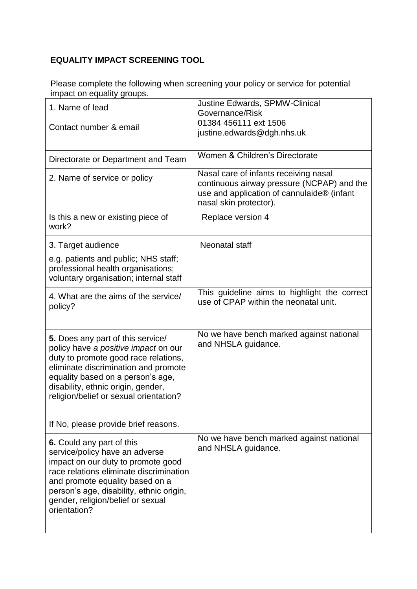## **EQUALITY IMPACT SCREENING TOOL**

Please complete the following when screening your policy or service for potential impact on equality groups.

| 1. Name of lead                                                                                                                                                                                                                                                                  | <b>Justine Edwards, SPMW-Clinical</b><br>Governance/Risk                                                                                                    |
|----------------------------------------------------------------------------------------------------------------------------------------------------------------------------------------------------------------------------------------------------------------------------------|-------------------------------------------------------------------------------------------------------------------------------------------------------------|
| Contact number & email                                                                                                                                                                                                                                                           | 01384 456111 ext 1506<br>justine.edwards@dgh.nhs.uk                                                                                                         |
| Directorate or Department and Team                                                                                                                                                                                                                                               | Women & Children's Directorate                                                                                                                              |
| 2. Name of service or policy                                                                                                                                                                                                                                                     | Nasal care of infants receiving nasal<br>continuous airway pressure (NCPAP) and the<br>use and application of cannulaide® (infant<br>nasal skin protector). |
| Is this a new or existing piece of<br>work?                                                                                                                                                                                                                                      | Replace version 4                                                                                                                                           |
| 3. Target audience                                                                                                                                                                                                                                                               | Neonatal staff                                                                                                                                              |
| e.g. patients and public; NHS staff;<br>professional health organisations;<br>voluntary organisation; internal staff                                                                                                                                                             |                                                                                                                                                             |
| 4. What are the aims of the service/<br>policy?                                                                                                                                                                                                                                  | This guideline aims to highlight the correct<br>use of CPAP within the neonatal unit.                                                                       |
| 5. Does any part of this service/<br>policy have a positive impact on our<br>duty to promote good race relations,<br>eliminate discrimination and promote<br>equality based on a person's age,<br>disability, ethnic origin, gender,<br>religion/belief or sexual orientation?   | No we have bench marked against national<br>and NHSLA guidance.                                                                                             |
| If No, please provide brief reasons.                                                                                                                                                                                                                                             |                                                                                                                                                             |
| 6. Could any part of this<br>service/policy have an adverse<br>impact on our duty to promote good<br>race relations eliminate discrimination<br>and promote equality based on a<br>person's age, disability, ethnic origin,<br>gender, religion/belief or sexual<br>orientation? | No we have bench marked against national<br>and NHSLA guidance.                                                                                             |